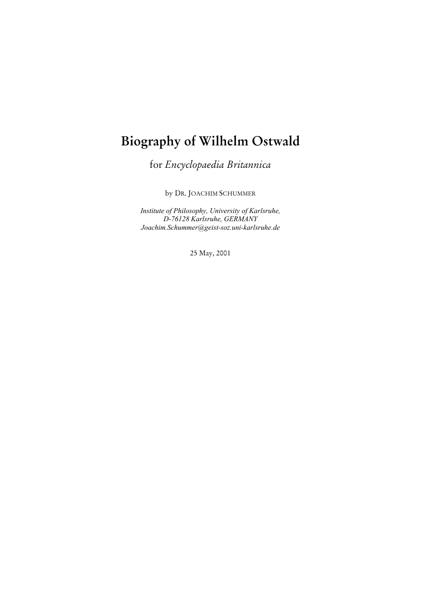# **Biography of Wilhelm Ostwald**

for *Encyclopaedia Britannica*

by DR. JOACHIM SCHUMMER

*Institute of Philosophy, University of Karlsruhe, D-76128 Karlsruhe, GERMANY Joachim.Schummer@geist-soz.uni-karlsruhe.de*

25 May, 2001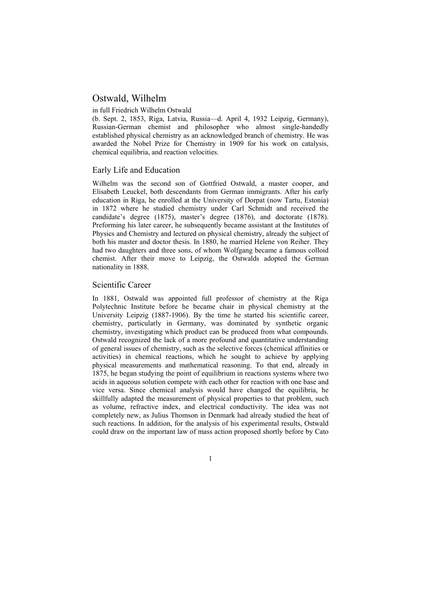# Ostwald, Wilhelm

#### in full Friedrich Wilhelm Ostwald

(b. Sept. 2, 1853, Riga, Latvia, Russia—d. April 4, 1932 Leipzig, Germany), Russian-German chemist and philosopher who almost single-handedly established physical chemistry as an acknowledged branch of chemistry. He was awarded the Nobel Prize for Chemistry in 1909 for his work on catalysis, chemical equilibria, and reaction velocities.

## Early Life and Education

Wilhelm was the second son of Gottfried Ostwald, a master cooper, and Elisabeth Leuckel, both descendants from German immigrants. After his early education in Riga, he enrolled at the University of Dorpat (now Tartu, Estonia) in 1872 where he studied chemistry under Carl Schmidt and received the candidate's degree (1875), master's degree (1876), and doctorate (1878). Preforming his later career, he subsequently became assistant at the Institutes of Physics and Chemistry and lectured on physical chemistry, already the subject of both his master and doctor thesis. In 1880, he married Helene von Reiher. They had two daughters and three sons, of whom Wolfgang became a famous colloid chemist. After their move to Leipzig, the Ostwalds adopted the German nationality in 1888.

#### Scientific Career

In 1881, Ostwald was appointed full professor of chemistry at the Riga Polytechnic Institute before he became chair in physical chemistry at the University Leipzig (1887-1906). By the time he started his scientific career, chemistry, particularly in Germany, was dominated by synthetic organic chemistry, investigating which product can be produced from what compounds. Ostwald recognized the lack of a more profound and quantitative understanding of general issues of chemistry, such as the selective forces (chemical affinities or activities) in chemical reactions, which he sought to achieve by applying physical measurements and mathematical reasoning. To that end, already in 1875, he began studying the point of equilibrium in reactions systems where two acids in aqueous solution compete with each other for reaction with one base and vice versa. Since chemical analysis would have changed the equilibria, he skillfully adapted the measurement of physical properties to that problem, such as volume, refractive index, and electrical conductivity. The idea was not completely new, as Julius Thomson in Denmark had already studied the heat of such reactions. In addition, for the analysis of his experimental results, Ostwald could draw on the important law of mass action proposed shortly before by Cato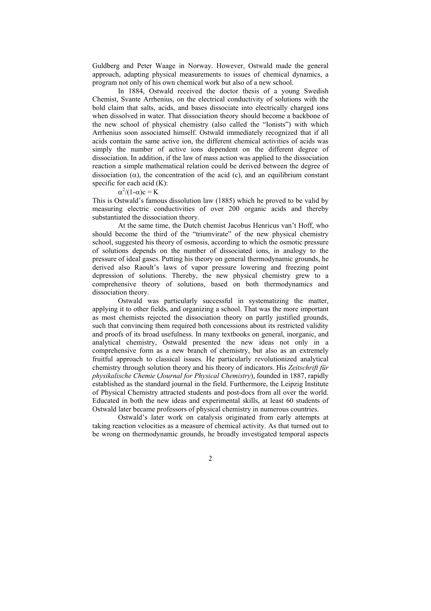Guldberg and Peter Waage in Norway. However, Ostwald made the general approach, adapting physical measurements to issues of chemical dynamics, a program not only of his own chemical work but also of a new school.

In 1884, Ostwald received the doctor thesis of a young Swedish Chemist, Svante Arrhenius, on the electrical conductivity of solutions with the bold claim that salts, acids, and bases dissociate into electrically charged ions when dissolved in water. That dissociation theory should become a backbone of the new school of physical chemistry (also called the "Ionists") with which Arrhenius soon associated himself. Ostwald immediately recognized that if all acids contain the same active ion, the different chemical activities of acids was simply the number of active ions dependent on the different degree of dissociation. In addition, if the law of mass action was applied to the dissociation reaction a simple mathematical relation could be derived between the degree of dissociation ( $\alpha$ ), the concentration of the acid (c), and an equilibrium constant specific for each acid (K):

## $\alpha^2/(1-\alpha)c = K$

This is Ostwald's famous dissolution law (1885) which he proved to be valid by measuring electric conductivities of over 200 organic acids and thereby substantiated the dissociation theory.

At the same time, the Dutch chemist Jacobus Henricus van't Hoff, who should become the third of the "triumvirate" of the new physical chemistry school, suggested his theory of osmosis, according to which the osmotic pressure of solutions depends on the number of dissociated ions, in analogy to the pressure of ideal gases. Putting his theory on general thermodynamic grounds, he derived also Raoult's laws of vapor pressure lowering and freezing point depression of solutions. Thereby, the new physical chemistry grew to a comprehensive theory of solutions, based on both thermodynamics and dissociation theory.

Ostwald was particularly successful in systematizing the matter, applying it to other fields, and organizing a school. That was the more important as most chemists rejected the dissociation theory on partly justified grounds, such that convincing them required both concessions about its restricted validity and proofs of its broad usefulness. In many textbooks on general, inorganic, and analytical chemistry, Ostwald presented the new ideas not only in a comprehensive form as a new branch of chemistry, but also as an extremely fruitful approach to classical issues. He particularly revolutionized analytical chemistry through solution theory and his theory of indicators. His *Zeitschrift für physikalische Chemie* (*Journal for Physical Chemistry*), founded in 1887, rapidly established as the standard journal in the field. Furthermore, the Leipzig Institute of Physical Chemistry attracted students and post-docs from all over the world. Educated in both the new ideas and experimental skills, at least 60 students of Ostwald later became professors of physical chemistry in numerous countries.

Ostwald's later work on catalysis originated from early attempts at taking reaction velocities as a measure of chemical activity. As that turned out to be wrong on thermodynamic grounds, he broadly investigated temporal aspects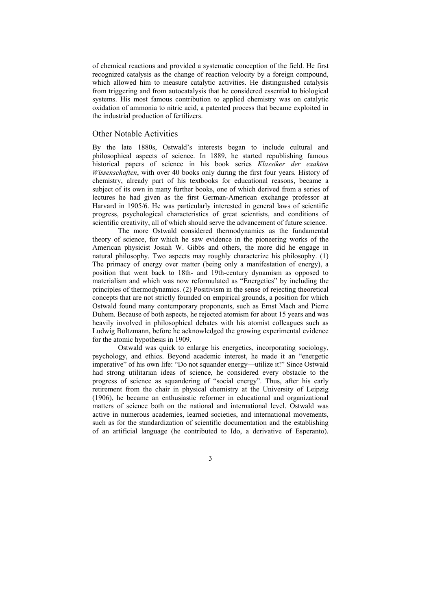of chemical reactions and provided a systematic conception of the field. He first recognized catalysis as the change of reaction velocity by a foreign compound, which allowed him to measure catalytic activities. He distinguished catalysis from triggering and from autocatalysis that he considered essential to biological systems. His most famous contribution to applied chemistry was on catalytic oxidation of ammonia to nitric acid, a patented process that became exploited in the industrial production of fertilizers.

#### Other Notable Activities

By the late 1880s, Ostwald's interests began to include cultural and philosophical aspects of science. In 1889, he started republishing famous historical papers of science in his book series *Klassiker der exakten Wissenschaften*, with over 40 books only during the first four years. History of chemistry, already part of his textbooks for educational reasons, became a subject of its own in many further books, one of which derived from a series of lectures he had given as the first German-American exchange professor at Harvard in 1905/6. He was particularly interested in general laws of scientific progress, psychological characteristics of great scientists, and conditions of scientific creativity, all of which should serve the advancement of future science.

The more Ostwald considered thermodynamics as the fundamental theory of science, for which he saw evidence in the pioneering works of the American physicist Josiah W. Gibbs and others, the more did he engage in natural philosophy. Two aspects may roughly characterize his philosophy. (1) The primacy of energy over matter (being only a manifestation of energy), a position that went back to 18th- and 19th-century dynamism as opposed to materialism and which was now reformulated as "Energetics" by including the principles of thermodynamics. (2) Positivism in the sense of rejecting theoretical concepts that are not strictly founded on empirical grounds, a position for which Ostwald found many contemporary proponents, such as Ernst Mach and Pierre Duhem. Because of both aspects, he rejected atomism for about 15 years and was heavily involved in philosophical debates with his atomist colleagues such as Ludwig Boltzmann, before he acknowledged the growing experimental evidence for the atomic hypothesis in 1909.

Ostwald was quick to enlarge his energetics, incorporating sociology, psychology, and ethics. Beyond academic interest, he made it an "energetic imperative" of his own life: "Do not squander energy—utilize it!" Since Ostwald had strong utilitarian ideas of science, he considered every obstacle to the progress of science as squandering of "social energy". Thus, after his early retirement from the chair in physical chemistry at the University of Leipzig (1906), he became an enthusiastic reformer in educational and organizational matters of science both on the national and international level. Ostwald was active in numerous academies, learned societies, and international movements, such as for the standardization of scientific documentation and the establishing of an artificial language (he contributed to Ido, a derivative of Esperanto).